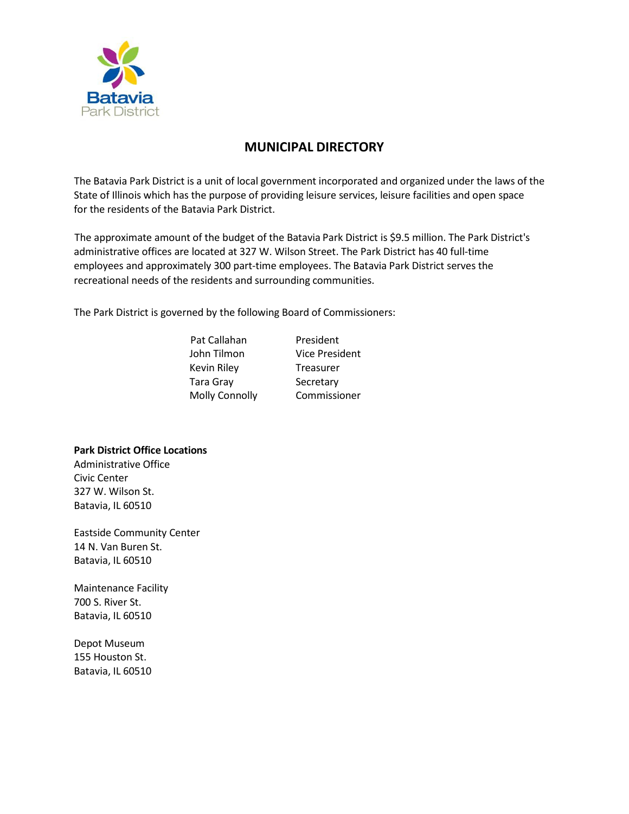

## **MUNICIPAL DIRECTORY**

The Batavia Park District is a unit of local government incorporated and organized under the laws of the State of Illinois which has the purpose of providing leisure services, leisure facilities and open space for the residents of the Batavia Park District.

The approximate amount of the budget of the Batavia Park District is \$9.5 million. The Park District's administrative offices are located at 327 W. Wilson Street. The Park District has 40 full-time employees and approximately 300 part-time employees. The Batavia Park District serves the recreational needs of the residents and surrounding communities.

The Park District is governed by the following Board of Commissioners:

| <b>Vice President</b> |
|-----------------------|
|                       |
|                       |
| Commissioner          |
|                       |

## **Park District Office Locations**

Administrative Office Civic Center 327 W. Wilson St. Batavia, IL 60510

Eastside Community Center 14 N. Van Buren St. Batavia, IL 60510

Maintenance Facility 700 S. River St. Batavia, IL 60510

Depot Museum 155 Houston St. Batavia, IL 60510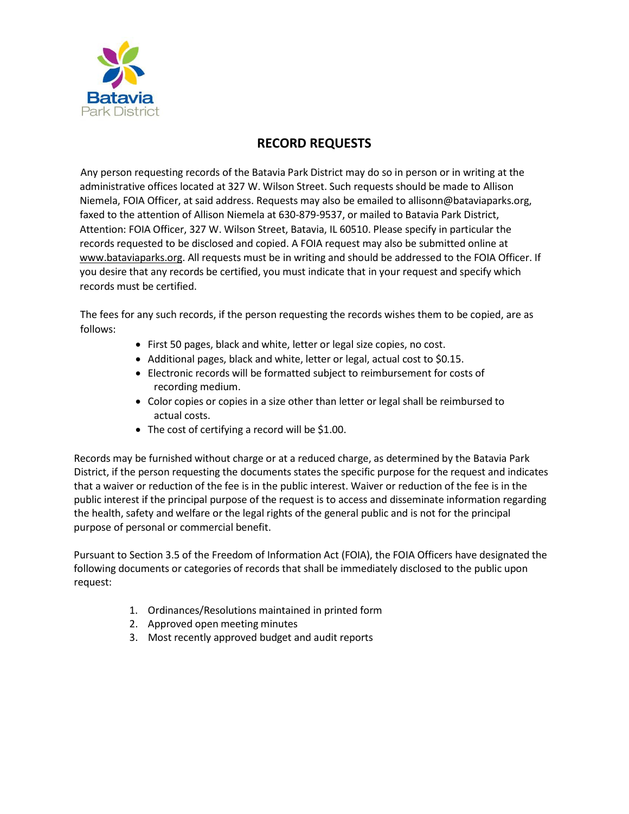

## **RECORD REQUESTS**

Any person requesting records of the Batavia Park District may do so in person or in writing at the administrative offices located at 327 W. Wilson Street. Such requests should be made to Allison Niemela, FOIA Officer, at said address. Requests may also be emailed to [allisonn@bataviaparks.org,](mailto:allisonn@bataviaparks.org) faxed to the attention of Allison Niemela at 630-879-9537, or mailed to Batavia Park District, Attention: FOIA Officer, 327 W. Wilson Street, Batavia, IL 60510. Please specify in particular the records requested to be disclosed and copied. A FOIA request may also be submitted online at [www.bataviaparks.org.](http://www.bataviaparks.org/) All requests must be in writing and should be addressed to the FOIA Officer. If you desire that any records be certified, you must indicate that in your request and specify which records must be certified.

The fees for any such records, if the person requesting the records wishes them to be copied, are as follows:

- First 50 pages, black and white, letter or legal size copies, no cost.
- Additional pages, black and white, letter or legal, actual cost to \$0.15.
- Electronic records will be formatted subject to reimbursement for costs of recording medium.
- Color copies or copies in a size other than letter or legal shall be reimbursed to actual costs.
- The cost of certifying a record will be \$1.00.

Records may be furnished without charge or at a reduced charge, as determined by the Batavia Park District, if the person requesting the documents states the specific purpose for the request and indicates that a waiver or reduction of the fee is in the public interest. Waiver or reduction of the fee is in the public interest if the principal purpose of the request is to access and disseminate information regarding the health, safety and welfare or the legal rights of the general public and is not for the principal purpose of personal or commercial benefit.

Pursuant to Section 3.5 of the Freedom of Information Act (FOIA), the FOIA Officers have designated the following documents or categories of records that shall be immediately disclosed to the public upon request:

- 1. Ordinances/Resolutions maintained in printed form
- 2. Approved open meeting minutes
- 3. Most recently approved budget and audit reports